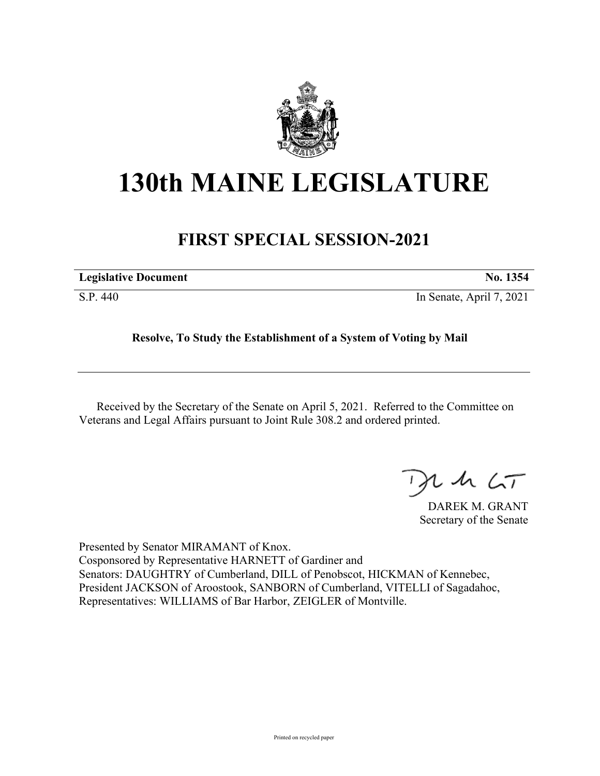

## **130th MAINE LEGISLATURE**

## **FIRST SPECIAL SESSION-2021**

| <b>Legislative Document</b> | No. 1354                 |
|-----------------------------|--------------------------|
| S.P. 440                    | In Senate, April 7, 2021 |

## **Resolve, To Study the Establishment of a System of Voting by Mail**

Received by the Secretary of the Senate on April 5, 2021. Referred to the Committee on Veterans and Legal Affairs pursuant to Joint Rule 308.2 and ordered printed.

 $125$ 

DAREK M. GRANT Secretary of the Senate

Presented by Senator MIRAMANT of Knox. Cosponsored by Representative HARNETT of Gardiner and Senators: DAUGHTRY of Cumberland, DILL of Penobscot, HICKMAN of Kennebec, President JACKSON of Aroostook, SANBORN of Cumberland, VITELLI of Sagadahoc, Representatives: WILLIAMS of Bar Harbor, ZEIGLER of Montville.